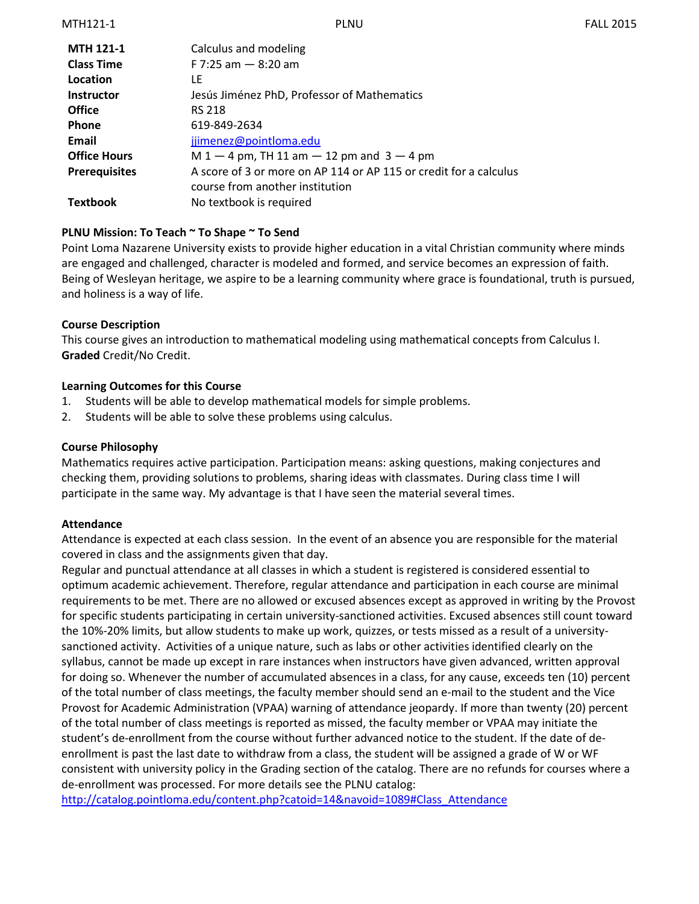| <b>MTH 121-1</b>     | Calculus and modeling                                             |
|----------------------|-------------------------------------------------------------------|
| <b>Class Time</b>    | F 7:25 am $-$ 8:20 am                                             |
| Location             | LF                                                                |
| <b>Instructor</b>    | Jesús Jiménez PhD, Professor of Mathematics                       |
| <b>Office</b>        | <b>RS 218</b>                                                     |
| <b>Phone</b>         | 619-849-2634                                                      |
| Email                | jjimenez@pointloma.edu                                            |
| <b>Office Hours</b>  | $M 1 - 4$ pm, TH 11 am $- 12$ pm and 3 $- 4$ pm                   |
| <b>Prerequisites</b> | A score of 3 or more on AP 114 or AP 115 or credit for a calculus |
|                      | course from another institution                                   |
| Textbook             | No textbook is required                                           |

### **PLNU Mission: To Teach ~ To Shape ~ To Send**

Point Loma Nazarene University exists to provide higher education in a vital Christian community where minds are engaged and challenged, character is modeled and formed, and service becomes an expression of faith. Being of Wesleyan heritage, we aspire to be a learning community where grace is foundational, truth is pursued, and holiness is a way of life.

### **Course Description**

This course gives an introduction to mathematical modeling using mathematical concepts from Calculus I. **Graded** Credit/No Credit.

### **Learning Outcomes for this Course**

- 1. Students will be able to develop mathematical models for simple problems.
- 2. Students will be able to solve these problems using calculus.

#### **Course Philosophy**

Mathematics requires active participation. Participation means: asking questions, making conjectures and checking them, providing solutions to problems, sharing ideas with classmates. During class time I will participate in the same way. My advantage is that I have seen the material several times.

### **Attendance**

Attendance is expected at each class session. In the event of an absence you are responsible for the material covered in class and the assignments given that day.

Regular and punctual attendance at all classes in which a student is registered is considered essential to optimum academic achievement. Therefore, regular attendance and participation in each course are minimal requirements to be met. There are no allowed or excused absences except as approved in writing by the Provost for specific students participating in certain university-sanctioned activities. Excused absences still count toward the 10%-20% limits, but allow students to make up work, quizzes, or tests missed as a result of a universitysanctioned activity. Activities of a unique nature, such as labs or other activities identified clearly on the syllabus, cannot be made up except in rare instances when instructors have given advanced, written approval for doing so. Whenever the number of accumulated absences in a class, for any cause, exceeds ten (10) percent of the total number of class meetings, the faculty member should send an e-mail to the student and the Vice Provost for Academic Administration (VPAA) warning of attendance jeopardy. If more than twenty (20) percent of the total number of class meetings is reported as missed, the faculty member or VPAA may initiate the student's de-enrollment from the course without further advanced notice to the student. If the date of deenrollment is past the last date to withdraw from a class, the student will be assigned a grade of W or WF consistent with university policy in the Grading section of the catalog. There are no refunds for courses where a de-enrollment was processed. For more details see the PLNU catalog:

[http://catalog.pointloma.edu/content.php?catoid=14&navoid=1089#Class\\_Attendance](http://catalog.pointloma.edu/content.php?catoid=14&navoid=1089#Class_Attendance)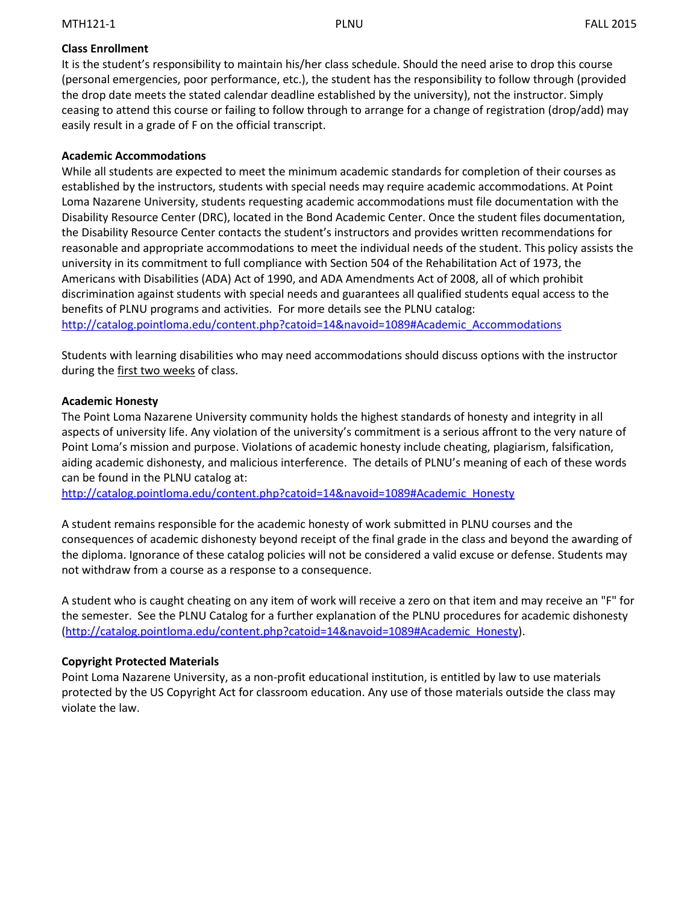## **Class Enrollment**

It is the student's responsibility to maintain his/her class schedule. Should the need arise to drop this course (personal emergencies, poor performance, etc.), the student has the responsibility to follow through (provided the drop date meets the stated calendar deadline established by the university), not the instructor. Simply ceasing to attend this course or failing to follow through to arrange for a change of registration (drop/add) may easily result in a grade of F on the official transcript.

### **Academic Accommodations**

While all students are expected to meet the minimum academic standards for completion of their courses as established by the instructors, students with special needs may require academic accommodations. At Point Loma Nazarene University, students requesting academic accommodations must file documentation with the Disability Resource Center (DRC), located in the Bond Academic Center. Once the student files documentation, the Disability Resource Center contacts the student's instructors and provides written recommendations for reasonable and appropriate accommodations to meet the individual needs of the student. This policy assists the university in its commitment to full compliance with Section 504 of the Rehabilitation Act of 1973, the Americans with Disabilities (ADA) Act of 1990, and ADA Amendments Act of 2008, all of which prohibit discrimination against students with special needs and guarantees all qualified students equal access to the benefits of PLNU programs and activities. For more details see the PLNU catalog: [http://catalog.pointloma.edu/content.php?catoid=14&navoid=1089#Academic\\_Accommodations](http://catalog.pointloma.edu/content.php?catoid=14&navoid=1089#Academic_Accommodations)

Students with learning disabilities who may need accommodations should discuss options with the instructor during the first two weeks of class.

### **Academic Honesty**

The Point Loma Nazarene University community holds the highest standards of honesty and integrity in all aspects of university life. Any violation of the university's commitment is a serious affront to the very nature of Point Loma's mission and purpose. Violations of academic honesty include cheating, plagiarism, falsification, aiding academic dishonesty, and malicious interference. The details of PLNU's meaning of each of these words can be found in the PLNU catalog at:

[http://catalog.pointloma.edu/content.php?catoid=14&navoid=1089#Academic\\_Honesty](http://catalog.pointloma.edu/content.php?catoid=14&navoid=1089#Academic_Honesty)

A student remains responsible for the academic honesty of work submitted in PLNU courses and the consequences of academic dishonesty beyond receipt of the final grade in the class and beyond the awarding of the diploma. Ignorance of these catalog policies will not be considered a valid excuse or defense. Students may not withdraw from a course as a response to a consequence.

A student who is caught cheating on any item of work will receive a zero on that item and may receive an "F" for the semester. See the PLNU Catalog for a further explanation of the PLNU procedures for academic dishonesty [\(http://catalog.pointloma.edu/content.php?catoid=14&navoid=1089#Academic\\_Honesty\)](http://catalog.pointloma.edu/content.php?catoid=14&navoid=1089#Academic_Honesty).

# **Copyright Protected Materials**

Point Loma Nazarene University, as a non-profit educational institution, is entitled by law to use materials protected by the US Copyright Act for classroom education. Any use of those materials outside the class may violate the law.